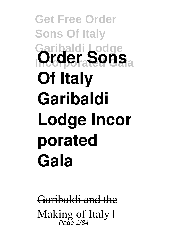**Get Free Order Sons Of Italy Garibaldi Lodge Order Sons Of Italy Garibaldi Lodge Incor porated Gala**

Garibaldi and the Making of Italy I Page 1/84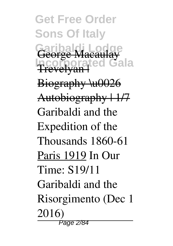**Get Free Order Sons Of Italy Garibaldi Lodge Incorporated Gala** George Macaulay Trevelyan | Biography \u0026 Autobiography | 1/7 Garibaldi and the Expedition of the Thousands 1860-61 Paris 1919 *In Our Time: S19/11 Garibaldi and the Risorgimento (Dec 1 2016)* Page 2/84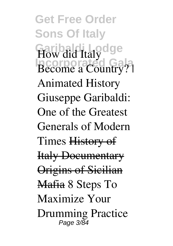**Get Free Order Sons Of Italy Garibaldi Lodge Incorporated Gala** How did Italy Become a Country? | Animated History *Giuseppe Garibaldi: One of the Greatest Generals of Modern Times* History of Italy Documentary Origins of Sicilian Mafia *8 Steps To Maximize Your Drumming Practice* Page 3/84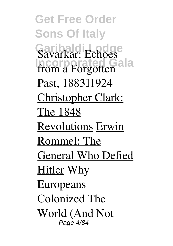**Get Free Order Sons Of Italy Garibaldi Lodge Incorporated Gala** Savarkar: Echoes from a Forgotten Past, 188311924 Christopher Clark: The 1848 Revolutions Erwin Rommel: The General Who Defied Hitler *Why Europeans Colonized The World (And Not* Page 4/84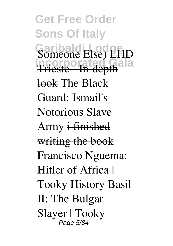**Get Free Order Sons Of Italy** Garibaldi Lodge **Incorporated Gala** *Someone Else)* LHD <del>Trieste - In-depth</del> look *The Black Guard: Ismail's Notorious Slave Army* i finished writing the book *Francisco Nguema: Hitler of Africa | Tooky History Basil II: The Bulgar Slayer | Tooky* Page 5/84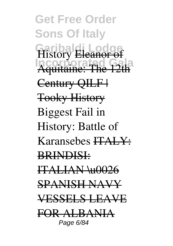**Get Free Order Sons Of Italy Garibaldi Lodge Incorporated Gala** *History* Eleanor of Aquitaine: The 12th Century OILF+ Tooky History *Biggest Fail in History: Battle of Karansebes* ITALY: BRINDISI: ITALIAN \u0026 SPANISH NAVY VESSELS LEAVE FOR ALBANIA Page 6/84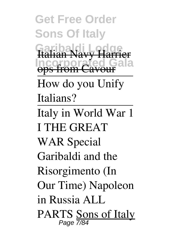**Get Free Order Sons Of Italy Garibaldi Lodge Incorporated Gala** Italian Navy Harrier ops from Cavour How do you Unify Italians? Italy in World War 1 I THE GREAT WAR Special Garibaldi and the Risorgimento (In Our Time) *Napoleon in Russia ALL PARTS* Sons of Italy Page 7/84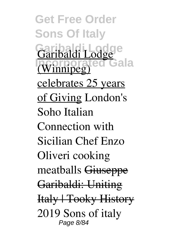**Get Free Order Sons Of Italy Garibaldi Lodge Incorporated Gala** (Winnipeg) celebrates 25 years of Giving *London's Soho Italian Connection with Sicilian Chef Enzo Oliveri cooking meatballs* Giuseppe Garibaldi: Uniting Italy | Tooky History **2019 Sons of italy** Page 8/84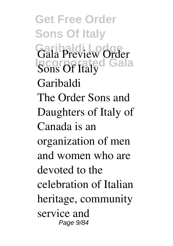**Get Free Order Sons Of Italy Garibaldi Lodge Incorporated Gala Gala Preview** *Order Sons Of Italy Garibaldi* The Order Sons and Daughters of Italy of Canada is an organization of men and women who are devoted to the celebration of Italian heritage, community service and Page 9/84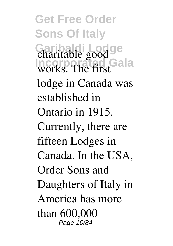**Get Free Order Sons Of Italy Garibaldi Lodge Incorporated Gala** charitable good works. The first lodge in Canada was established in Ontario in 1915. Currently, there are fifteen Lodges in Canada. In the USA, Order Sons and Daughters of Italy in America has more than 600,000 Page 10/84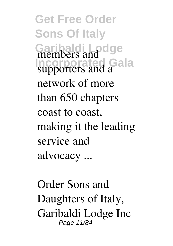**Get Free Order Sons Of Italy Garibaldi Lodge Incorporated Gala** members and supporters and a network of more than 650 chapters coast to coast, making it the leading service and advocacy ...

*Order Sons and Daughters of Italy, Garibaldi Lodge Inc* Page 11/84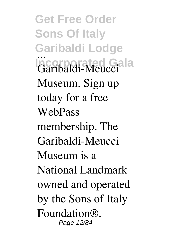**Get Free Order Sons Of Italy Garibaldi Lodge Incorporated Gala** *...* Garibaldi-Meucci Museum. Sign up today for a free WebPass membership. The Garibaldi-Meucci Museum is a National Landmark owned and operated by the Sons of Italy Foundation®. Page 12/84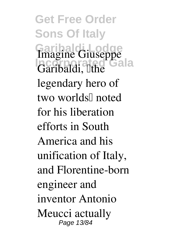**Get Free Order Sons Of Italy Garibaldi Lodge Incorporated Gala** Imagine Giuseppe Garibaldi, <sup>[]</sup>the legendary hero of two worlds" noted for his liberation efforts in South America and his unification of Italy, and Florentine-born engineer and inventor Antonio Meucci actually Page 13/84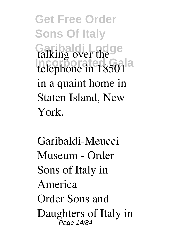**Get Free Order Sons Of Italy Garibaldi Lodge Incorporated Gala** talking over the telephone in 1850 <sup>[]</sup> in a quaint home in Staten Island, New York.

*Garibaldi-Meucci Museum - Order Sons of Italy in America* Order Sons and Daughters of Italy in Page 14/84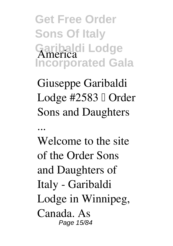**Get Free Order Sons Of Italy Garibaldi Lodge Incorporated Gala** America

*Giuseppe Garibaldi Lodge #2583 – Order Sons and Daughters*

*...*

Welcome to the site of the Order Sons and Daughters of Italy - Garibaldi Lodge in Winnipeg, Canada. As Page 15/84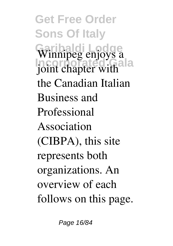**Get Free Order Sons Of Italy Garibaldi Lodge Incorporated Gala** Winnipeg enjoys a joint chapter with the Canadian Italian Business and Professional Association (CIBPA), this site represents both organizations. An overview of each follows on this page.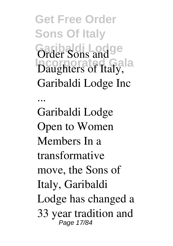**Get Free Order Sons Of Italy Garibaldi Lodge Incorporated Gala** *Order Sons and Daughters of Italy, Garibaldi Lodge Inc ...* Garibaldi Lodge Open to Women Members In a transformative move, the Sons of Italy, Garibaldi Lodge has changed a 33 year tradition and Page 17/84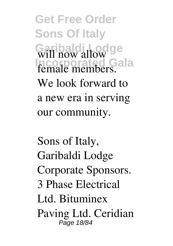**Get Free Order Sons Of Italy Garibaldi Lodge Incorporated Gala** will now allow female members. We look forward to a new era in serving our community.

*Sons of Italy, Garibaldi Lodge* Corporate Sponsors. 3 Phase Electrical Ltd. Bituminex Paving Ltd. Ceridian Page 18/84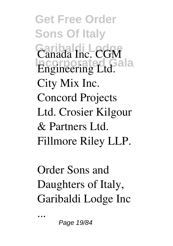**Get Free Order Sons Of Italy Garibaldi Lodge Incorporated Gala** Canada Inc. CGM Engineering Ltd. City Mix Inc. Concord Projects Ltd. Crosier Kilgour & Partners Ltd. Fillmore Riley LLP.

*Order Sons and Daughters of Italy, Garibaldi Lodge Inc*

Page 19/84

*...*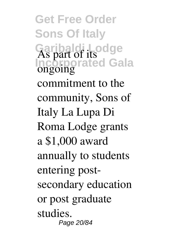**Get Free Order Sons Of Italy Garibaldi Lodge Incorporated Gala** As part of its ongoing commitment to the community, Sons of Italy La Lupa Di Roma Lodge grants a \$1,000 award annually to students entering postsecondary education or post graduate studies. Page 20/84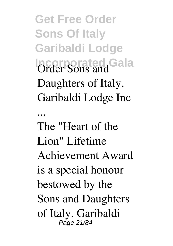**Get Free Order Sons Of Italy Garibaldi Lodge Incorporated Gala** *Order Sons and Daughters of Italy, Garibaldi Lodge Inc*

*...* The "Heart of the Lion" Lifetime Achievement Award is a special honour bestowed by the Sons and Daughters of Italy, Garibaldi Page 21/84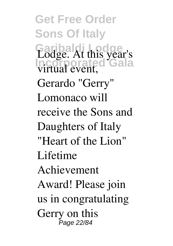**Get Free Order Sons Of Italy Garibaldi Lodge Incorporated Gala** Lodge. At this year's virtual event, Gerardo "Gerry" Lomonaco will receive the Sons and Daughters of Italy "Heart of the Lion" Lifetime Achievement Award! Please join us in congratulating Gerry on this Page 22/84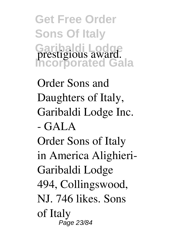**Get Free Order Sons Of Italy Garibaldi Lodge Incorporated Gala** prestigious award.

*Order Sons and Daughters of Italy, Garibaldi Lodge Inc. - GALA* Order Sons of Italy in America Alighieri-Garibaldi Lodge 494, Collingswood, NJ. 746 likes. Sons of Italy Page 23/84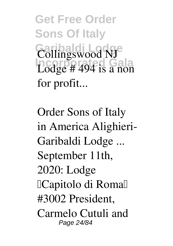**Get Free Order Sons Of Italy Garibaldi Lodge Incorporated Gala** Collingswood NJ Lodge # 494 is a non for profit...

*Order Sons of Italy in America Alighieri-Garibaldi Lodge ...* September 11th, 2020: Lodge <sup>[Capitolo di Roma]</sup> #3002 President, Carmelo Cutuli and Page 24/84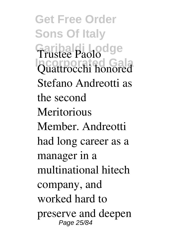**Get Free Order Sons Of Italy Garibaldi Lodge Incorporated Gala** Trustee Paolo Quattrocchi honored Stefano Andreotti as the second **Meritorious** Member. Andreotti had long career as a manager in a multinational hitech company, and worked hard to preserve and deepen Page 25/84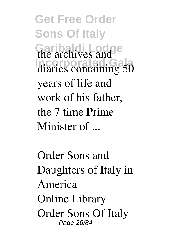**Get Free Order Sons Of Italy Garibaldi Lodge Incorporated Gala** the archives and diaries containing 50 years of life and work of his father, the 7 time Prime Minister of ...

*Order Sons and Daughters of Italy in America* Online Library Order Sons Of Italy Page 26/84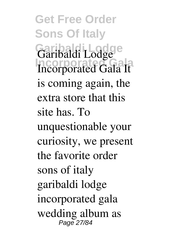**Get Free Order Sons Of Italy Garibaldi Lodge Incorporated Gala It** is coming again, the extra store that this site has. To unquestionable your curiosity, we present the favorite order sons of italy garibaldi lodge incorporated gala wedding album as Page 27/84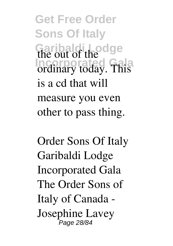**Get Free Order Sons Of Italy Garibaldi Lodge Incorporated Gala** the out of the ordinary today. This is a cd that will measure you even other to pass thing.

*Order Sons Of Italy Garibaldi Lodge Incorporated Gala* The Order Sons of Italy of Canada - Josephine Lavey Page 28/84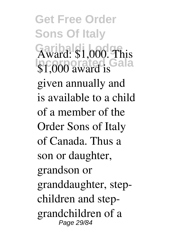**Get Free Order Sons Of Italy** Garibaldi <sub>nod</sub>ge **Incorporated Gala** Award: \$1,000. This \$1,000 award is given annually and is available to a child of a member of the Order Sons of Italy of Canada. Thus a son or daughter, grandson or granddaughter, stepchildren and stepgrandchildren of a Page 29/84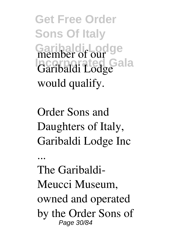**Get Free Order Sons Of Italy** Garibaldi<sub>r</sub> Lodge **Incorporated Gala** member of our Garibaldi Lodge would qualify.

*Order Sons and Daughters of Italy, Garibaldi Lodge Inc*

*...*

The Garibaldi-Meucci Museum, owned and operated by the Order Sons of Page 30/84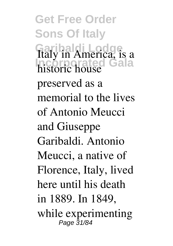**Get Free Order Sons Of Italy Garibaldi Lodge Incorporated Gala** Italy in America, is a historic house preserved as a memorial to the lives of Antonio Meucci and Giuseppe Garibaldi. Antonio Meucci, a native of Florence, Italy, lived here until his death in 1889. In 1849, while experimenting Page 31/84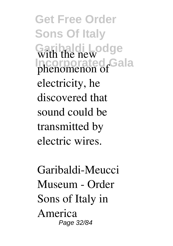**Get Free Order Sons Of Italy Garibaldi Lodge Incorporated Gala** with the new phenomenon of electricity, he discovered that sound could be transmitted by electric wires.

*Garibaldi-Meucci Museum - Order Sons of Italy in America* Page 32/84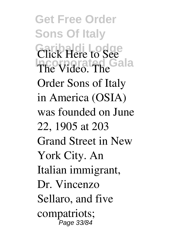**Get Free Order Sons Of Italy Garibaldi Lodge Incorporated Gala** Click Here to See The Video. The Order Sons of Italy in America (OSIA) was founded on June 22, 1905 at 203 Grand Street in New York City. An Italian immigrant, Dr. Vincenzo Sellaro, and five compatriots; Page 33/84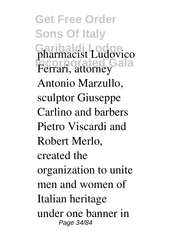**Get Free Order Sons Of Italy Garibaldi Lodge Incorporated Gala** pharmacist Ludovico Ferrari, attorney Antonio Marzullo, sculptor Giuseppe Carlino and barbers Pietro Viscardi and Robert Merlo, created the organization to unite men and women of Italian heritage under one banner in Page 34/84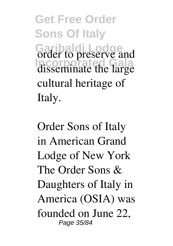**Get Free Order Sons Of Italy Garibaldi Lodge Incorporated Gala** order to preserve and disseminate the large cultural heritage of Italy.

*Order Sons of Italy in American Grand Lodge of New York* The Order Sons & Daughters of Italy in America (OSIA) was founded on June 22, Page 35/84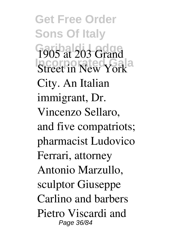**Get Free Order Sons Of Italy** Garibals<sub>03</sub> Adge **Incorporated Gala** 1905 at 203 Grand Street in New York City. An Italian immigrant, Dr. Vincenzo Sellaro, and five compatriots; pharmacist Ludovico Ferrari, attorney Antonio Marzullo, sculptor Giuseppe Carlino and barbers Pietro Viscardi and Page 36/84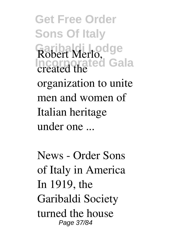**Get Free Order Sons Of Italy Garibaldi Lodge Incorporated Gala** Robert Merlo, created the organization to unite men and women of Italian heritage under one ...

*News - Order Sons of Italy in America* In 1919, the Garibaldi Society turned the house Page 37/84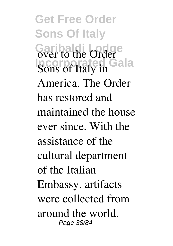**Get Free Order Sons Of Italy Garibaldi Lodge Incorporated Gala** over to the Order Sons of Italy in America. The Order has restored and maintained the house ever since. With the assistance of the cultural department of the Italian Embassy, artifacts were collected from around the world. Page 38/84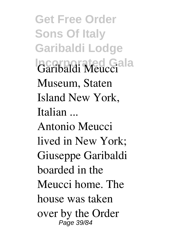**Get Free Order Sons Of Italy Garibaldi Lodge Incorporated Gala** *Garibaldi Meucci Museum, Staten Island New York, Italian ...* Antonio Meucci lived in New York; Giuseppe Garibaldi boarded in the Meucci home. The house was taken

over by the Order Page 39/84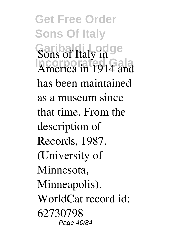**Get Free Order Sons Of Italy Garibaldi Lodge Incorporated Gala** Sons of Italy in America in 1914 and has been maintained as a museum since that time. From the description of Records, 1987. (University of Minnesota, Minneapolis). WorldCat record id: 62730798 Page 40/84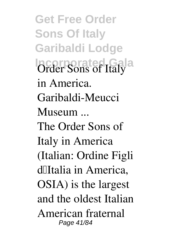**Get Free Order Sons Of Italy Garibaldi Lodge Incorporated Gala** *Order Sons of Italy in America. Garibaldi-Meucci Museum ...* The Order Sons of Italy in America (Italian: Ordine Figli d'Italia in America, OSIA) is the largest and the oldest Italian American fraternal Page 41/84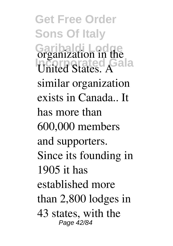**Get Free Order Sons Of Italy Garibaldi Lodge Incorporated Gala** organization in the United States. A similar organization exists in Canada.. It has more than 600,000 members and supporters. Since its founding in 1905 it has established more than 2,800 lodges in 43 states, with the Page 42/84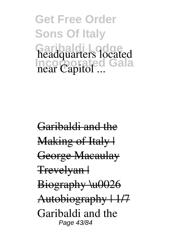**Get Free Order Sons Of Italy Garibaldi Lodge Incorporated Gala** headquarters located near Capitol ...

Garibaldi and the Making of Italy | George Macaulay Trevelyan | Biography \u0026 Autobiography | 1/7 Garibaldi and the Page 43/84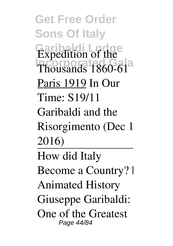**Get Free Order Sons Of Italy Garibaldi Lodge Incorporated Gala** Expedition of the Thousands 1860-61 Paris 1919 *In Our Time: S19/11 Garibaldi and the Risorgimento (Dec 1 2016)* How did Italy Become a Country? | Animated History *Giuseppe Garibaldi: One of the Greatest* Page 44/84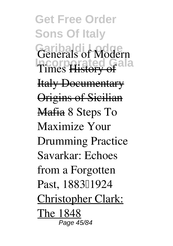**Get Free Order Sons Of Italy Garibaldi Lodge Incorporated Gala** *Generals of Modern Times* History of Italy Documentary **Origins of Sicilian** Mafia *8 Steps To Maximize Your Drumming Practice* Savarkar: Echoes from a Forgotten Past, 188311924 Christopher Clark: The 1848 Page 45/84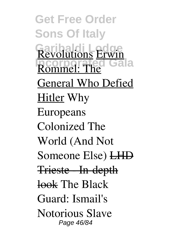**Get Free Order Sons Of Italy Garibaldi Lodge Incorporated Gala** Revolutions Erwin Rommel: The General Who Defied Hitler *Why Europeans Colonized The World (And Not Someone Else)* LHD Trieste In-depth look *The Black Guard: Ismail's Notorious Slave* Page 46/84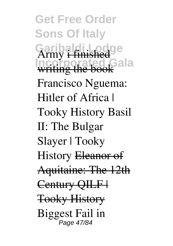**Get Free Order Sons Of Italy Garibaldi Lodge Incorporated Gala** *Army* i finished writing the book *Francisco Nguema: Hitler of Africa | Tooky History Basil II: The Bulgar Slayer | Tooky History* Eleanor of Aquitaine: The 12th Century OILF | Tooky History *Biggest Fail in* Page 47/84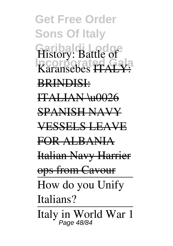**Get Free Order Sons Of Italy Garibaldi Lodge Incorporated Gala** *History: Battle of Karansebes* ITALY: BRINDISI: ITALIAN \u0026 SPANISH NAVY VESSELS LEAVE FOR ALBANIA Italian Navy Harrier ops from Cavour How do you Unify Italians? Italy in World War 1 Page 48/84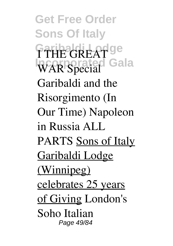**Get Free Order Sons Of Italy Garibaldi Lodge Incorporated Gala** I THE GREAT WAR Special Garibaldi and the Risorgimento (In Our Time) *Napoleon in Russia ALL PARTS* Sons of Italy Garibaldi Lodge (Winnipeg) celebrates 25 years of Giving *London's Soho Italian* Page 49/84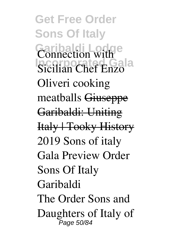**Get Free Order Sons Of Italy Garibaldi Lodge Incorporated Gala** *Connection with Sicilian Chef Enzo Oliveri cooking meatballs* Giuseppe Garibaldi: Uniting Italy | Tooky History **2019 Sons of italy Gala Preview** *Order Sons Of Italy Garibaldi* The Order Sons and Daughters of Italy of Page 50/84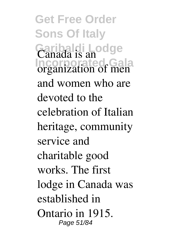**Get Free Order Sons Of Italy Garibaldi Lodge Incorporated Gala** Canada is an organization of men and women who are devoted to the celebration of Italian heritage, community service and charitable good works. The first lodge in Canada was established in Ontario in 1915. Page 51/84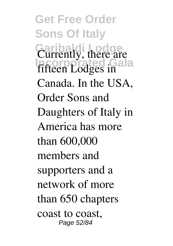**Get Free Order Sons Of Italy Garibaldi Lodge Incorporated Gala** Currently, there are fifteen Lodges in Canada. In the USA, Order Sons and Daughters of Italy in America has more than 600,000 members and supporters and a network of more than 650 chapters coast to coast, Page 52/84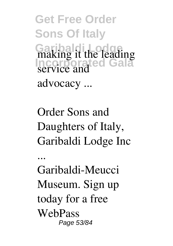**Get Free Order Sons Of Italy Garibaldi Lodge Incorporated Gala** making it the leading service and advocacy ...

*Order Sons and Daughters of Italy, Garibaldi Lodge Inc*

Garibaldi-Meucci Museum. Sign up today for a free WebPass Page 53/84

*...*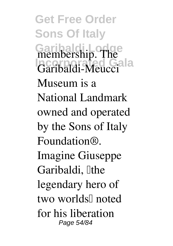**Get Free Order Sons Of Italy** Garibaldi Lodge **Incorporated Gala** membership. The Garibaldi-Meucci Museum is a National Landmark owned and operated by the Sons of Italy Foundation®. Imagine Giuseppe Garibaldi, Ithe legendary hero of two worlds" noted for his liberation Page 54/84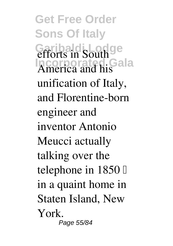**Get Free Order Sons Of Italy Garibaldi Lodge Incorporated Gala** efforts in South America and his unification of Italy, and Florentine-born engineer and inventor Antonio Meucci actually talking over the telephone in  $1850 \Box$ in a quaint home in Staten Island, New York. Page 55/84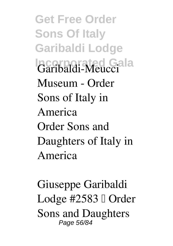**Get Free Order Sons Of Italy Garibaldi Lodge Incorporated Gala** *Garibaldi-Meucci Museum - Order Sons of Italy in America* Order Sons and Daughters of Italy in America

*Giuseppe Garibaldi Lodge #2583 – Order Sons and Daughters* Page 56/84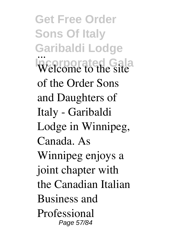**Get Free Order Sons Of Italy Garibaldi Lodge Incorporated Gala** *...* Welcome to the site of the Order Sons and Daughters of Italy - Garibaldi Lodge in Winnipeg, Canada. As Winnipeg enjoys a joint chapter with the Canadian Italian Business and Professional Page 57/84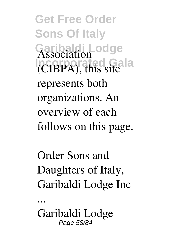**Get Free Order Sons Of Italy Garibaldi Lodge Incorporated Gala** Association (CIBPA), this site represents both organizations. An overview of each follows on this page.

*Order Sons and Daughters of Italy, Garibaldi Lodge Inc*

Garibaldi Lodge Page 58/84

*...*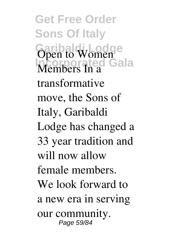**Get Free Order Sons Of Italy Garibaldi Lodge Incorporated Gala** Open to Women Members In a transformative move, the Sons of Italy, Garibaldi Lodge has changed a 33 year tradition and will now allow female members. We look forward to a new era in serving our community. Page 59/84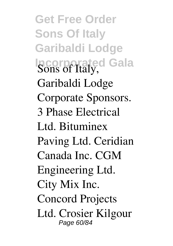**Get Free Order Sons Of Italy Garibaldi Lodge Incorporated Gala** *Sons of Italy, Garibaldi Lodge* Corporate Sponsors. 3 Phase Electrical Ltd. Bituminex Paving Ltd. Ceridian Canada Inc. CGM Engineering Ltd. City Mix Inc. Concord Projects Ltd. Crosier Kilgour Page 60/84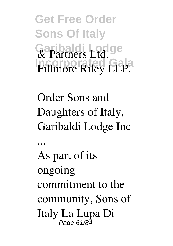**Get Free Order Sons Of Italy Garibaldi Lodge Incorporated Gala** & Partners Ltd. Fillmore Riley LLP.

*Order Sons and Daughters of Italy, Garibaldi Lodge Inc*

*...* As part of its ongoing commitment to the community, Sons of Italy La Lupa Di Page 61/84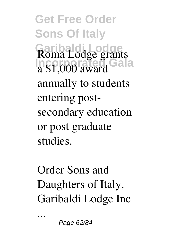**Get Free Order Sons Of Italy Garibaldi Lodge Incorporated Gala** Roma Lodge grants a \$1,000 award annually to students entering postsecondary education or post graduate studies.

*Order Sons and Daughters of Italy, Garibaldi Lodge Inc*

Page 62/84

*...*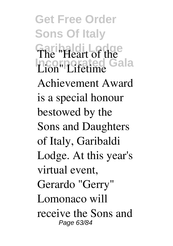**Get Free Order Sons Of Italy Garibaldi Lodge Incorporated Gala** The "Heart of the Lion" Lifetime Achievement Award is a special honour bestowed by the Sons and Daughters of Italy, Garibaldi Lodge. At this year's virtual event, Gerardo "Gerry" Lomonaco will receive the Sons and Page 63/84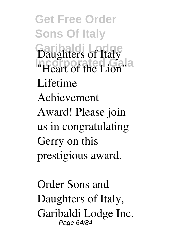**Get Free Order Sons Of Italy Garibaldi Lodge Incorporated Gala** Daughters of Italy "Heart of the Lion" Lifetime Achievement Award! Please join us in congratulating Gerry on this prestigious award.

*Order Sons and Daughters of Italy, Garibaldi Lodge Inc.* Page 64/84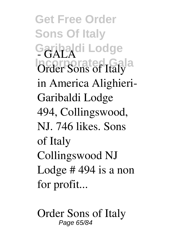**Get Free Order Sons Of Italy Garibaldi Lodge Incorporated Gala** *- GALA* Order Sons of Italy in America Alighieri-Garibaldi Lodge 494, Collingswood, NJ. 746 likes. Sons of Italy Collingswood NJ Lodge # 494 is a non for profit...

*Order Sons of Italy* Page 65/84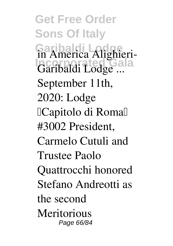**Get Free Order Sons Of Italy Garibaldi Lodge Incorporated Gala** *in America Alighieri-Garibaldi Lodge ...* September 11th, 2020: Lodge <sup>[Capitolo di Roma]]</sup> #3002 President, Carmelo Cutuli and Trustee Paolo Quattrocchi honored Stefano Andreotti as the second **Meritorious** Page 66/84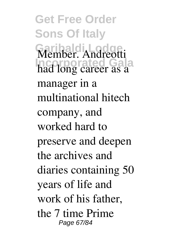**Get Free Order Sons Of Italy Garibaldi Lodge Incorporated Gala** Member. Andreotti had long career as a manager in a multinational hitech company, and worked hard to preserve and deepen the archives and diaries containing 50 years of life and work of his father, the 7 time Prime Page 67/84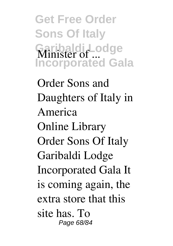**Get Free Order Sons Of Italy Garibaldi Lodge Incorporated Gala** Minister of ...

*Order Sons and Daughters of Italy in America* Online Library Order Sons Of Italy Garibaldi Lodge Incorporated Gala It is coming again, the extra store that this site has. To Page 68/84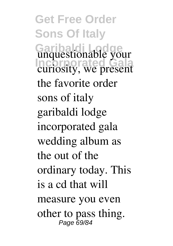**Get Free Order Sons Of Italy Garibaldi Lodge Incorporated Gala** unquestionable your curiosity, we present the favorite order sons of italy garibaldi lodge incorporated gala wedding album as the out of the ordinary today. This is a cd that will measure you even other to pass thing. Page 69/84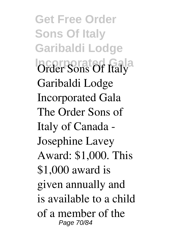**Get Free Order Sons Of Italy Garibaldi Lodge Incorporated Gala** *Order Sons Of Italy Garibaldi Lodge Incorporated Gala* The Order Sons of Italy of Canada - Josephine Lavey Award: \$1,000. This \$1,000 award is given annually and is available to a child of a member of the Page 70/84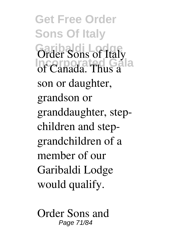**Get Free Order Sons Of Italy Garibaldi Lodge Incorporated Gala** Order Sons of Italy of Canada. Thus a son or daughter, grandson or granddaughter, stepchildren and stepgrandchildren of a member of our Garibaldi Lodge would qualify.

*Order Sons and* Page 71/84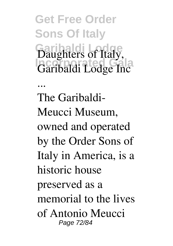**Get Free Order Sons Of Italy Garibaldi Lodge Incorporated Gala** *Daughters of Italy, Garibaldi Lodge Inc*

*...*

The Garibaldi-Meucci Museum, owned and operated by the Order Sons of Italy in America, is a historic house preserved as a memorial to the lives of Antonio Meucci Page 72/84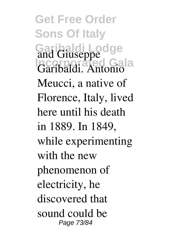**Get Free Order Sons Of Italy Garibaldi Lodge Incorporated Gala** and Giuseppe Garibaldi. Antonio Meucci, a native of Florence, Italy, lived here until his death in 1889. In 1849, while experimenting with the new phenomenon of electricity, he discovered that sound could be Page 73/84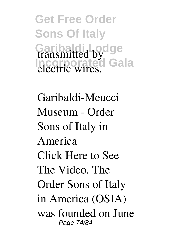**Get Free Order Sons Of Italy Garibaldi Lodge Incorporated Gala** transmitted by electric wires.

*Garibaldi-Meucci Museum - Order Sons of Italy in America* Click Here to See The Video. The Order Sons of Italy in America (OSIA) was founded on June Page 74/84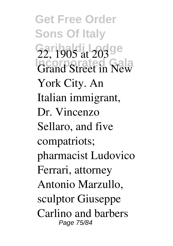**Get Free Order Sons Of Italy** Garibaldi Londge **Incorporated Gala** 22, 1905 at 203 Grand Street in New York City. An Italian immigrant, Dr. Vincenzo Sellaro, and five compatriots; pharmacist Ludovico Ferrari, attorney Antonio Marzullo, sculptor Giuseppe Carlino and barbers Page 75/84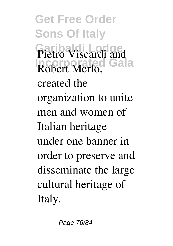**Get Free Order Sons Of Italy Garibaldi Lodge Incorporated Gala** Pietro Viscardi and Robert Merlo, created the organization to unite men and women of Italian heritage under one banner in order to preserve and disseminate the large cultural heritage of Italy.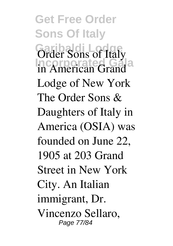**Get Free Order Sons Of Italy Garibaldi Lodge Incorporated Gala** *Order Sons of Italy in American Grand Lodge of New York* The Order Sons & Daughters of Italy in America (OSIA) was founded on June 22, 1905 at 203 Grand Street in New York City. An Italian immigrant, Dr. Vincenzo Sellaro, Page 77/84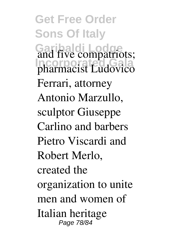**Get Free Order Sons Of Italy Garibaldi Lodge Incorporated Gala** and five compatriots; pharmacist Ludovico Ferrari, attorney Antonio Marzullo, sculptor Giuseppe Carlino and barbers Pietro Viscardi and Robert Merlo, created the organization to unite men and women of Italian heritage Page 78/84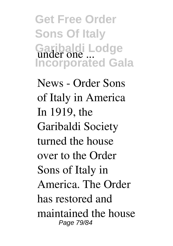**Get Free Order Sons Of Italy Garibaldi Lodge Incorporated Gala** under one ...

*News - Order Sons of Italy in America* In 1919, the Garibaldi Society turned the house over to the Order Sons of Italy in America. The Order has restored and maintained the house Page 79/84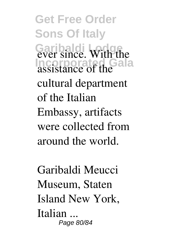**Get Free Order Sons Of Italy** Garibaldi **Lodge Incorporated Gala** ever since. With the assistance of the cultural department of the Italian Embassy, artifacts were collected from around the world.

*Garibaldi Meucci Museum, Staten Island New York, Italian ...* Page 80/84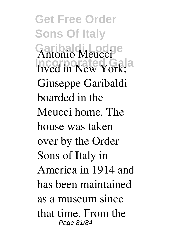**Get Free Order Sons Of Italy Garibaldi Lodge Incorporated Gala** Antonio Meucci lived in New York; Giuseppe Garibaldi boarded in the Meucci home. The house was taken over by the Order Sons of Italy in America in 1914 and has been maintained as a museum since that time. From the Page 81/84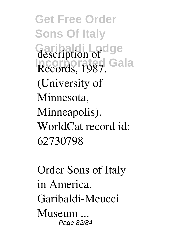**Get Free Order Sons Of Italy Garibaldi Lodge Incorporated Gala** description of Records, 1987. (University of Minnesota, Minneapolis). WorldCat record id: 62730798

*Order Sons of Italy in America. Garibaldi-Meucci Museum ...* Page 82/84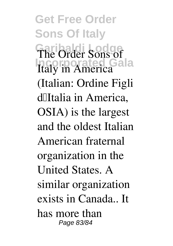**Get Free Order Sons Of Italy Garibaldi Lodge Incorporated Gala** The Order Sons of Italy in America (Italian: Ordine Figli d'Italia in America, OSIA) is the largest and the oldest Italian American fraternal organization in the United States. A similar organization exists in Canada.. It has more than Page 83/84